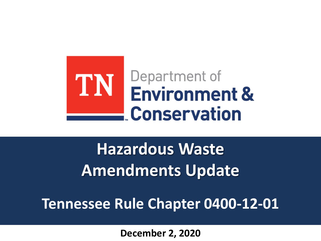

**Hazardous Waste Amendments Update**

**Tennessee Rule Chapter 0400-12-01**

**December 2, 2020**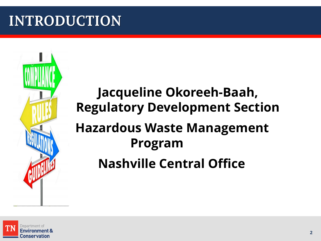## **INTRODUCTION**

## **Jacqueline Okoreeh-Baah, Regulatory Development Section Hazardous Waste Management Program Nashville Central Office**

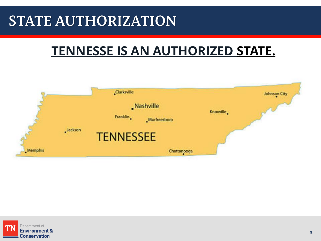## **STATE AUTHORIZATION**

### **[TENNESSE IS AN AUTHORIZED](http://www.epa.gov/epawaste/wyl/stateprograms.htm) STATE.**



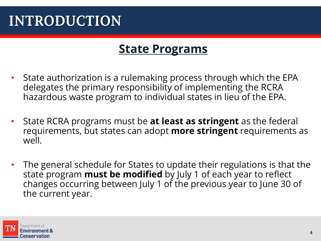## **INTRODUCTION**

### **[State Programs](http://www.epa.gov/epawaste/wyl/stateprograms.htm)**

- State authorization is a rulemaking process through which the EPA delegates the primary responsibility of implementing the RCRA hazardous waste program to individual states in lieu of the EPA.
- State RCRA programs must be **at least as stringent** as the federal requirements, but states can adopt **more stringent** requirements as well.
- The general schedule for States to update their regulations is that the state program **must be modified** by July 1 of each year to reflect changes occurring between July 1 of the previous year to June 30 of the current year.

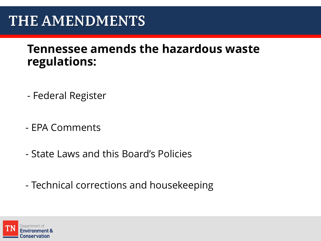### **THE AMENDMENTS**

### **Tennessee amends the hazardous waste regulations:**

- Federal Register
- EPA Comments
- State Laws and this Board's Policies
- Technical corrections and housekeeping

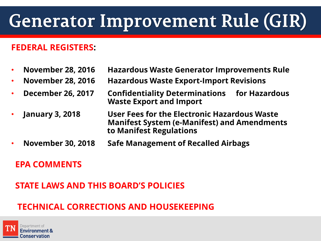# **Generator Improvement Rule (GIR)**

#### **FEDERAL REGISTERS:**

- **November 28, 2016 Hazardous Waste Generator Improvements Rule**
- **November 28, 2016 Hazardous Waste Export-Import Revisions**
- **December 26, 2017 Confidentiality Determinations for Hazardous Waste Export and Import**
- **January 3, 2018 User Fees for the Electronic Hazardous Waste Manifest System (e-Manifest) and Amendments to Manifest Regulations**
- **November 30, 2018 Safe Management of Recalled Airbags**

#### **EPA COMMENTS**

#### **STATE LAWS AND THIS BOARD'S POLICIES**

### **TECHNICAL CORRECTIONS AND HOUSEKEEPING**

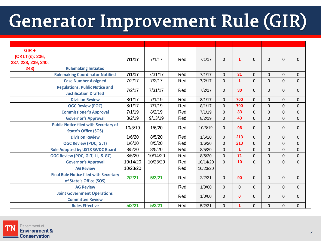# Generator Improvement Rule (GIR)

| $GIR +$<br>(CKLT(s): 236,<br>237, 238, 239, 240, |                                                                             | 7/1/17   | 7/1/17   | Red | 7/1/17   | $\Omega$       | 1        | $\Omega$    | $\Omega$ | $\Omega$    | $\mathbf 0$    |
|--------------------------------------------------|-----------------------------------------------------------------------------|----------|----------|-----|----------|----------------|----------|-------------|----------|-------------|----------------|
| 243)                                             | <b>Rulemaking Initiated</b>                                                 |          |          |     |          |                |          |             |          |             |                |
|                                                  | <b>Rulemaking Coordinator Notified</b>                                      | 7/1/17   | 7/31/17  | Red | 7/1/17   | $\Omega$       | 31       | $\Omega$    | $\Omega$ | $\Omega$    | $\Omega$       |
|                                                  | <b>Case Number Assigned</b>                                                 | 7/2/17   | 7/2/17   | Red | 7/2/17   | $\overline{0}$ | 1        | $\Omega$    | $\Omega$ | $\mathbf 0$ | $\mathbf 0$    |
|                                                  | <b>Regulations, Public Notice and</b><br><b>Justification Drafted</b>       | 7/2/17   | 7/31/17  | Red | 7/2/17   | $\Omega$       | 30       | $\Omega$    | $\Omega$ | $\Omega$    | $\mathbf 0$    |
|                                                  | <b>Division Review</b>                                                      | 8/1/17   | 7/1/19   | Red | 8/1/17   | $\Omega$       | 700      | $\Omega$    | $\Omega$ | 0           | $\mathbf 0$    |
|                                                  | <b>OGC Review (POC)</b>                                                     | 8/1/17   | 7/1/19   | Red | 8/1/17   | $\Omega$       | 700      | $\Omega$    | $\Omega$ | $\Omega$    | $\mathbf 0$    |
|                                                  | <b>Commissioner's Approval</b>                                              | 7/1/19   | 8/2/19   | Red | 7/1/19   | $\Omega$       | 33       | $\Omega$    | $\Omega$ | $\Omega$    | $\mathbf 0$    |
|                                                  | <b>Governor's Approval</b>                                                  | 8/2/19   | 9/13/19  | Red | 8/2/19   | $\Omega$       | 43       | $\Omega$    | $\Omega$ | $\mathbf 0$ | $\mathbf{0}$   |
|                                                  | <b>Public Notice filed with Secretary of</b><br><b>State's Office (SOS)</b> | 10/3/19  | 1/6/20   | Red | 10/3/19  | $\Omega$       | 96       | $\Omega$    | $\Omega$ | $\Omega$    | $\mathbf 0$    |
|                                                  | <b>Division Review</b>                                                      | 1/6/20   | 8/5/20   | Red | 1/6/20   | $\Omega$       | 213      | $\Omega$    | $\Omega$ | $\Omega$    | $\mathbf{0}$   |
|                                                  | <b>OGC Review (POC, GLT)</b>                                                | 1/6/20   | 8/5/20   | Red | 1/6/20   | $\mathbf 0$    | 213      | $\Omega$    | $\Omega$ | $\mathbf 0$ | $\mathbf 0$    |
|                                                  | <b>Rule Adopted by UST&amp;SWDC Board</b>                                   | 8/5/20   | 8/5/20   | Red | 8/5/20   | $\Omega$       | 1        | $\Omega$    | $\Omega$ | $\Omega$    | $\Omega$       |
|                                                  | OGC Review (POC, GLT, LL, & GC)                                             | 8/5/20   | 10/14/20 | Red | 8/5/20   | $\Omega$       | 71       | $\Omega$    | $\Omega$ | $\Omega$    | $\Omega$       |
|                                                  | <b>Governor's Approval</b>                                                  | 10/14/20 | 10/23/20 | Red | 10/14/20 | $\overline{0}$ | 10       | $\mathbf 0$ | $\Omega$ | 0           | $\mathbf{0}$   |
|                                                  | <b>AG Review</b>                                                            | 10/23/20 |          | Red | 10/23/20 |                |          |             |          |             |                |
|                                                  | <b>Final Rule Notice filed with Secretary</b><br>of State's Office (SOS)    | 2/2/21   | 5/2/21   | Red | 2/2/21   | $\Omega$       | 90       | $\Omega$    | $\Omega$ | $\Omega$    | $\mathbf{0}$   |
|                                                  | <b>AG Review</b>                                                            |          |          | Red | 1/0/00   | $\Omega$       | $\Omega$ | $\Omega$    | $\Omega$ | $\mathbf 0$ | $\mathbf 0$    |
|                                                  | <b>Joint Government Operations</b><br><b>Committee Review</b>               |          |          | Red | 1/0/00   | $\Omega$       | $\bf{0}$ | $\Omega$    | $\Omega$ | $\Omega$    | $\overline{0}$ |
|                                                  | <b>Rules Effective</b>                                                      | 5/2/21   | 5/2/21   | Red | 5/2/21   | $\Omega$       | 1        | $\Omega$    | 0        | 0           | 0              |

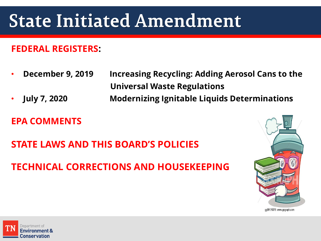# **State Initiated Amendment**

#### **FEDERAL REGISTERS:**

- **December 9, 2019 Increasing Recycling: Adding Aerosol Cans to the Universal Waste Regulations**
- **July 7, 2020 Modernizing Ignitable Liquids Determinations**

#### **EPA COMMENTS**

**STATE LAWS AND THIS BOARD'S POLICIES**

### **TECHNICAL CORRECTIONS AND HOUSEKEEPING**



qq99176375 www.qoqraph.com

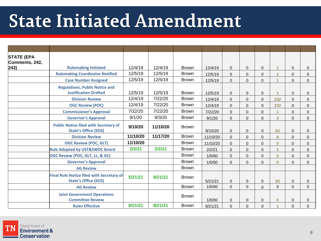# **State Initiated Amendment**

| <b>STATE (EPA</b><br>Comments, 242, |                                                                                 |          |          |              |          |                |              |                |                      |          |              |
|-------------------------------------|---------------------------------------------------------------------------------|----------|----------|--------------|----------|----------------|--------------|----------------|----------------------|----------|--------------|
| $ 243\rangle$                       | <b>Rulemaking Initiated</b>                                                     | 12/4/19  | 12/4/19  | <b>Brown</b> | 12/4/19  | $\mathbf{0}$   | $\mathbf{0}$ | $\Omega$       | $\mathbf{1}$         | 0        | $\mathbf{0}$ |
|                                     | <b>Rulemaking Coordinator Notified</b>                                          | 12/5/19  | 12/5/19  | <b>Brown</b> | 12/5/19  | $\overline{0}$ | $\Omega$     | $\Omega$       | $\overline{1}$       | 0        | $\Omega$     |
|                                     | <b>Case Number Assigned</b>                                                     | 12/5/19  | 12/5/19  | <b>Brown</b> | 12/5/19  | $\mathbf 0$    | $\Omega$     | $\Omega$       | 4                    | $\Omega$ | $\Omega$     |
|                                     | <b>Regulations, Public Notice and</b><br><b>Justification Drafted</b>           | 12/5/19  | 12/5/19  | <b>Brown</b> | 12/5/19  | $\mathbf{0}$   | $\Omega$     | $\Omega$       |                      | 0        | $\mathbf{0}$ |
|                                     | <b>Division Review</b>                                                          | 12/4/19  | 7/22/20  | <b>Brown</b> | 12/4/19  | $\Omega$       | $\Omega$     | $\mathbf 0$    | 232                  | $\Omega$ | $\Omega$     |
|                                     | <b>OGC Review (POC)</b>                                                         | 12/4/19  | 7/22/20  | <b>Brown</b> | 12/4/19  | $\Omega$       | $\Omega$     | $\Omega$       | 232                  | $\Omega$ | $\Omega$     |
|                                     | <b>Commissioner's Approval</b>                                                  | 7/22/20  | 7/22/20  | <b>Brown</b> | 7/22/20  | $\overline{0}$ | $\Omega$     | $\Omega$       | $\blacktriangleleft$ | $\Omega$ | $\Omega$     |
|                                     | <b>Governor's Approval</b>                                                      | 9/1/20   | 9/3/20   | <b>Brown</b> | 9/1/20   | $\overline{0}$ | $\mathbf{0}$ | $\Omega$       | 3                    | 0        | $\Omega$     |
|                                     | <b>Public Notice filed with Secretary of</b><br><b>State's Office (SOS)</b>     | 9/10/20  | 11/10/20 | <b>Brown</b> | 9/10/20  | $\mathbf{0}$   | $\mathbf{0}$ | $\Omega$       | 62                   | 0        | $\mathbf{0}$ |
|                                     | <b>Division Review</b>                                                          | 11/10/20 | 11/17/20 | <b>Brown</b> | 11/10/20 | $\Omega$       | $\Omega$     | $\Omega$       | 8                    | $\Omega$ | $\Omega$     |
|                                     | <b>OGC Review (POC, GLT)</b>                                                    | 11/10/20 |          | <b>Brown</b> | 11/10/20 | $\mathbf 0$    | $\Omega$     | $\Omega$       | $\mathbf{0}$         | $\Omega$ | $\Omega$     |
|                                     | <b>Rule Adopted by UST&amp;SWDC Board</b>                                       | 2/2/21   | 2/2/21   | <b>Brown</b> | 2/2/21   | $\overline{0}$ | $\Omega$     | $\Omega$       | $\overline{1}$       | $\Omega$ | $\Omega$     |
|                                     | OGC Review (POC, GLT, LL, & GC)                                                 |          |          | <b>Brown</b> | 1/0/00   | $\mathbf{0}$   | $\Omega$     | $\Omega$       | $\mathbf{0}$         | 0        | $\mathbf{0}$ |
|                                     | <b>Governor's Approval</b>                                                      |          |          | <b>Brown</b> | 1/0/00   | $\overline{0}$ | 0            | 0              | $\bf{0}$             | 0        | $\Omega$     |
|                                     | <b>AG Review</b>                                                                |          |          | <b>Brown</b> |          |                |              |                |                      |          |              |
|                                     | <b>Final Rule Notice filed with Secretary of</b><br><b>State's Office (SOS)</b> | 5/21/21  | 8/21/21  | <b>Brown</b> | 5/21/21  | $\mathbf{0}$   | $\Omega$     | $\Omega$       | 93                   | $\Omega$ | $\mathbf{0}$ |
|                                     | <b>AG Review</b>                                                                |          |          | <b>Brown</b> | 1/0/00   | $\Omega$       | $\Omega$     | $\Omega$       | $\Omega$             | $\Omega$ | $\Omega$     |
|                                     | <b>Joint Government Operations</b><br><b>Committee Review</b>                   |          |          | <b>Brown</b> | 1/0/00   | $\overline{0}$ | $\Omega$     | $\overline{0}$ | $\bf{0}$             | $\Omega$ | $\mathbf{0}$ |
|                                     | <b>Rules Effective</b>                                                          | 8/21/21  | 8/21/21  | <b>Brown</b> | 8/21/21  | $\overline{0}$ | $\Omega$     | $\Omega$       | 4                    | 0        | $\Omega$     |

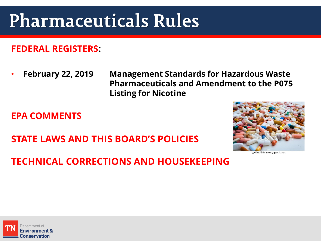# **Pharmaceuticals Rules**

#### **FEDERAL REGISTERS:**

• **February 22, 2019 Management Standards for Hazardous Waste Pharmaceuticals and Amendment to the P075 Listing for Nicotine** 

**EPA COMMENTS**

**STATE LAWS AND THIS BOARD'S POLICIES**



**TECHNICAL CORRECTIONS AND HOUSEKEEPING**

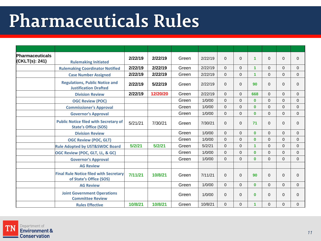# **Pharmaceuticals Rules**

| Pharmaceuticals<br>(CKLT(s): 241) | <b>Rulemaking Initiated</b>                                                 | 2/22/19 | 2/22/19  | Green | 2/22/19 | $\Omega$       | $\Omega$ | $\mathbf{1}$   | $\Omega$     | $\Omega$     | $\Omega$     |
|-----------------------------------|-----------------------------------------------------------------------------|---------|----------|-------|---------|----------------|----------|----------------|--------------|--------------|--------------|
|                                   | <b>Rulemaking Coordinator Notified</b>                                      | 2/22/19 | 2/22/19  | Green | 2/22/19 | $\Omega$       | $\Omega$ | 1              | $\Omega$     | $\Omega$     | $\Omega$     |
|                                   | <b>Case Number Assigned</b>                                                 | 2/22/19 | 2/22/19  | Green | 2/22/19 | $\mathbf{0}$   | $\Omega$ | $\overline{1}$ | $\Omega$     | $\Omega$     | $\mathbf{0}$ |
|                                   | <b>Regulations, Public Notice and</b><br><b>Justification Drafted</b>       | 2/22/19 | 5/22/19  | Green | 2/22/19 | $\Omega$       | $\Omega$ | 90             | $\Omega$     | $\Omega$     | $\Omega$     |
|                                   | <b>Division Review</b>                                                      | 2/22/19 | 12/20/20 | Green | 2/22/19 | $\Omega$       | $\Omega$ | 668            | $\Omega$     | $\Omega$     | $\Omega$     |
|                                   | <b>OGC Review (POC)</b>                                                     |         |          | Green | 1/0/00  | $\Omega$       | $\Omega$ | $\bf{0}$       | $\Omega$     | 0            | $\Omega$     |
|                                   | <b>Commissioner's Approval</b>                                              |         |          | Green | 1/0/00  | $\mathbf{0}$   | $\Omega$ | $\bf{0}$       | $\Omega$     | $\Omega$     | $\Omega$     |
|                                   | <b>Governor's Approval</b>                                                  |         |          | Green | 1/0/00  | $\mathbf{0}$   | $\Omega$ | $\mathbf{0}$   | $\Omega$     | $\Omega$     | $\Omega$     |
|                                   | <b>Public Notice filed with Secretary of</b><br><b>State's Office (SOS)</b> | 5/21/21 | 7/30/21  | Green | 7/30/21 | $\mathbf{0}$   | $\Omega$ | 71             | $\mathbf{0}$ | $\mathbf{0}$ | $\mathbf{0}$ |
|                                   | <b>Division Review</b>                                                      |         |          | Green | 1/0/00  | $\Omega$       | $\Omega$ | $\bf{0}$       | $\Omega$     | $\Omega$     | $\Omega$     |
|                                   | <b>OGC Review (POC, GLT)</b>                                                |         |          | Green | 1/0/00  | $\mathbf{0}$   | $\Omega$ | $\bf{0}$       | $\Omega$     | $\Omega$     | $\Omega$     |
|                                   | <b>Rule Adopted by UST&amp;SWDC Board</b>                                   | 5/2/21  | 5/2/21   | Green | 5/2/21  | $\mathbf{0}$   | $\Omega$ | 1              | $\Omega$     | 0            | $\mathbf{0}$ |
|                                   | OGC Review (POC, GLT, LL, & GC)                                             |         |          | Green | 1/0/00  | $\mathbf{0}$   | $\Omega$ | $\mathbf{0}$   | $\Omega$     | $\Omega$     | $\Omega$     |
|                                   | <b>Governor's Approval</b>                                                  |         |          | Green | 1/0/00  | $\mathbf{0}$   | 0        | $\bf{0}$       | $\Omega$     | $\Omega$     | $\Omega$     |
|                                   | <b>AG Review</b>                                                            |         |          |       |         |                |          |                |              |              |              |
|                                   | <b>Final Rule Notice filed with Secretary</b><br>of State's Office (SOS)    | 7/11/21 | 10/8/21  | Green | 7/11/21 | $\mathbf{0}$   | 0        | 90             | $\mathbf{0}$ | $\mathbf{0}$ | $\mathbf{0}$ |
|                                   | <b>AG Review</b>                                                            |         |          | Green | 1/0/00  | $\overline{0}$ | $\Omega$ | $\bf{0}$       | $\Omega$     | $\Omega$     | $\Omega$     |
|                                   | <b>Joint Government Operations</b><br><b>Committee Review</b>               |         |          | Green | 1/0/00  | $\Omega$       | 0        | $\bf{0}$       | $\Omega$     | $\Omega$     | $\Omega$     |
|                                   | <b>Rules Effective</b>                                                      | 10/8/21 | 10/8/21  | Green | 10/8/21 | $\mathbf{0}$   | $\Omega$ | 1              | $\Omega$     | $\Omega$     | $\Omega$     |

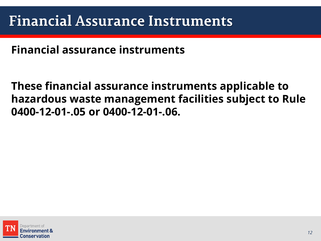**Financial assurance instruments**

**These financial assurance instruments applicable to hazardous waste management facilities subject to Rule 0400-12-01-.05 or 0400-12-01-.06.**

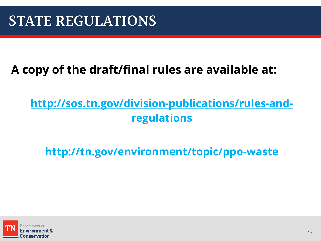### **A copy of the draft/final rules are available at:**

### **http://sos.tn.gov/division-publications/rules-andregulations**

**http://tn.gov/environment/topic/ppo-waste**

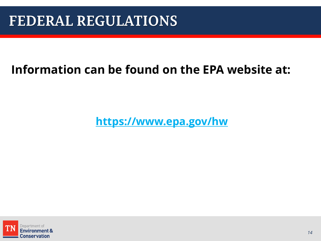### **Information can be found on the EPA website at:**

**https://www.epa.gov/hw**

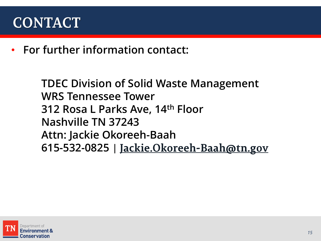## **CONTACT**

• **For further information contact:** 

**TDEC Division of Solid Waste Management WRS Tennessee Tower 312 Rosa L Parks Ave, 14th Floor Nashville TN 37243 Attn: Jackie Okoreeh-Baah 615-532-0825** |